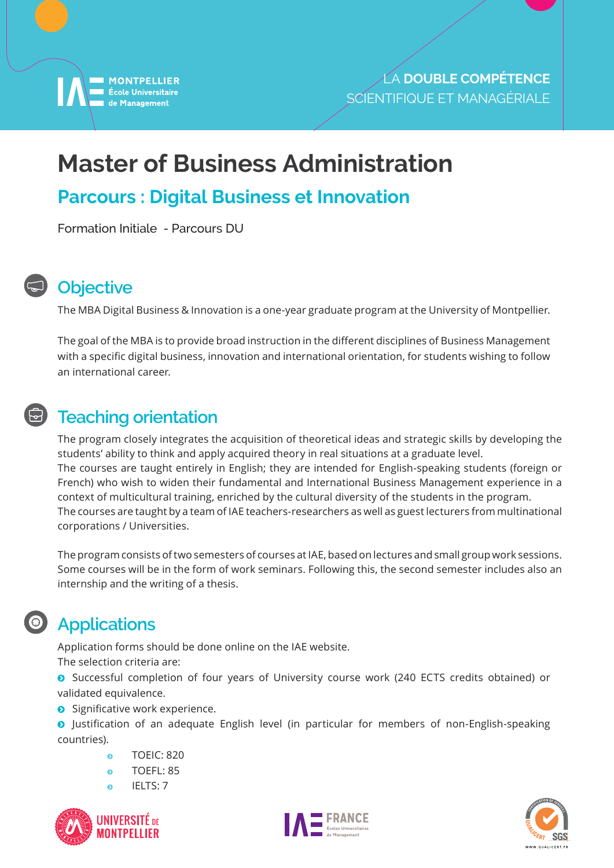

# **Master of Business Administration**

### **Parcours : Digital Business et Innovation**

Formation Initiale - Parcours DU



#### **Objective**

The MBA Digital Business & Innovation is a one-year graduate program at the University of Montpellier.

The goal of the MBA is to provide broad instruction in the different disciplines of Business Management with a specific digital business, innovation and international orientation, for students wishing to follow an international career.

#### **Teaching orientation**

The program closely integrates the acquisition of theoretical ideas and strategic skills by developing the students' ability to think and apply acquired theory in real situations at a graduate level. The courses are taught entirely in English; they are intended for English-speaking students (foreign or French) who wish to widen their fundamental and International Business Management experience in a context of multicultural training, enriched by the cultural diversity of the students in the program. The courses are taught by a team of IAE teachers-researchers as well as guest lecturers from multinational corporations / Universities.

The program consists of two semesters of courses at IAE, based on lectures and small group work sessions. Some courses will be in the form of work seminars. Following this, the second semester includes also an internship and the writing of a thesis.

#### **Applications**

Application forms should be done online on the IAE website.

The selection criteria are:

**O** Successful completion of four years of University course work (240 ECTS credits obtained) or validated equivalence.

**•** Significative work experience.

**O** Justification of an adequate English level (in particular for members of non-English-speaking countries).

- **a** TOEIC: 820
- o TOEFL: 85
- **IELTS: 7**